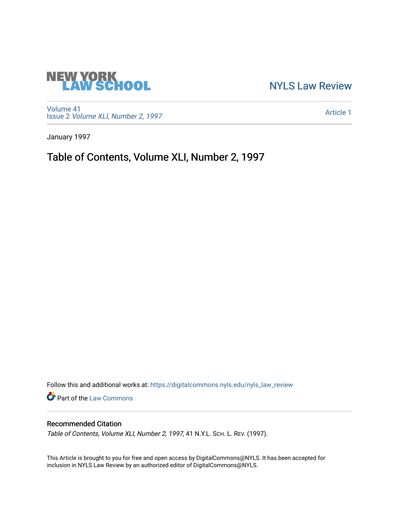# **NEW YORK<br>LAW SCHOOL**

[NYLS Law Review](https://digitalcommons.nyls.edu/nyls_law_review) 

[Volume 41](https://digitalcommons.nyls.edu/nyls_law_review/vol41) Issue 2 [Volume XLI, Number 2, 1997](https://digitalcommons.nyls.edu/nyls_law_review/vol41/iss2)

[Article 1](https://digitalcommons.nyls.edu/nyls_law_review/vol41/iss2/1) 

January 1997

Table of Contents, Volume XLI, Number 2, 1997

Follow this and additional works at: [https://digitalcommons.nyls.edu/nyls\\_law\\_review](https://digitalcommons.nyls.edu/nyls_law_review?utm_source=digitalcommons.nyls.edu%2Fnyls_law_review%2Fvol41%2Fiss2%2F1&utm_medium=PDF&utm_campaign=PDFCoverPages) 

Part of the [Law Commons](https://network.bepress.com/hgg/discipline/578?utm_source=digitalcommons.nyls.edu%2Fnyls_law_review%2Fvol41%2Fiss2%2F1&utm_medium=PDF&utm_campaign=PDFCoverPages)

### Recommended Citation

Table of Contents, Volume XLI, Number 2, 1997, 41 N.Y.L. SCH. L. REV. (1997).

This Article is brought to you for free and open access by DigitalCommons@NYLS. It has been accepted for inclusion in NYLS Law Review by an authorized editor of DigitalCommons@NYLS.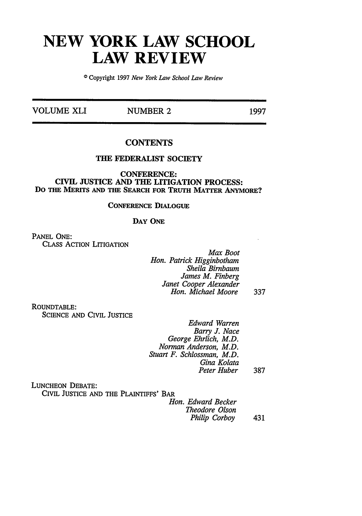## **NEW YORK LAW SCHOOL LAW REVIEW**

©Copyright 1997 *New York Law School Law Review*

**VOLUME XLI NUMBER 2** 1997

#### **CONTENTS**

#### THE FEDERALIST **SOCIETY**

**CONFERENCE:** CIVIL **JUSTICE AND** THE LITIGATION **PROCESS: Do THE MERITS AND THE SEARCH FOR TRUTH MATTER ANYMORE?**

#### **CONFERENCE DIALOGUE**

#### **DAY ONE**

**PANEL ONE:** CLASS ACTION LITIGATION

> *Max Boot Hon. Patrick Higginbotham Sheila Birnbaum James M. Finberg Janet Cooper Alexander Hon. Michael Moore* 337

ROUNDTABLE:

SCIENCE AND CIVIL JUSTICE

*Edward Warren Barry J. Nace George Ehrlich, M.D. Norman Anderson, M.D. Stuart F. Schlossman, M.D. Gina Kolata Peter Huber* 387

LUNCHEON DEBATE:

CIVIL JUSTICE **AND** THE PLAINTIFFS' BAR

*Hon. Edward Becker Theodore Olson Philip Corboy* 431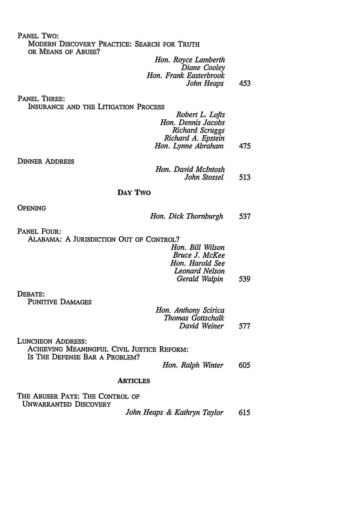PANEL TWO:

MODERN DISCOVERY PRACTICE: SEARCH FOR TRUTH OR **MEANS** OF ABUSE?

*Hon. Royce Lamberth Diane Cooley Hon. Frank Easterbrook John Heaps* 453

PANEL THREE:

INSURANCE AND THE LITIGATION PROCESS

| Robert L. Lofts    |     |
|--------------------|-----|
| Hon. Dennis Jacobs |     |
| Richard Scruggs    |     |
| Richard A. Epstein |     |
| Hon. Lynne Abraham | 475 |

DINNER ADDRESS

| Hon. David McIntosh |     |
|---------------------|-----|
| John Stossel        | 513 |

#### DAY TWO

**OPENING** 

|  |  | Hon. Dick Thornburgh | 537 |
|--|--|----------------------|-----|
|--|--|----------------------|-----|

PANEL FOUR: ALABAMA: A JURISDICTION OUT OF CONTROL?

| Hon. Bill Wilson |     |
|------------------|-----|
| Bruce J. McKee   |     |
| Hon. Harold See  |     |
| Leonard Nelson   |     |
| Gerald Walpin    | 539 |

DEBATE:

PUNITIVE DAMAGES

*Hon. Anthony Scirica Thomas Gottschalk David Weiner* 577

LUNCHEON ADDRESS: ACHIEVING MEANINGFUL CIVIL JUSTICE REFORM: Is THE **DEFENSE BAR A** PROBLEM?

*Hon. Ralph Winter 605*

#### **ARTICLES**

THE ABUSER PAYS: THE CONTROL OF UNWARRANTED DISCOVERY

*John Heaps & Kathryn Taylor* 615